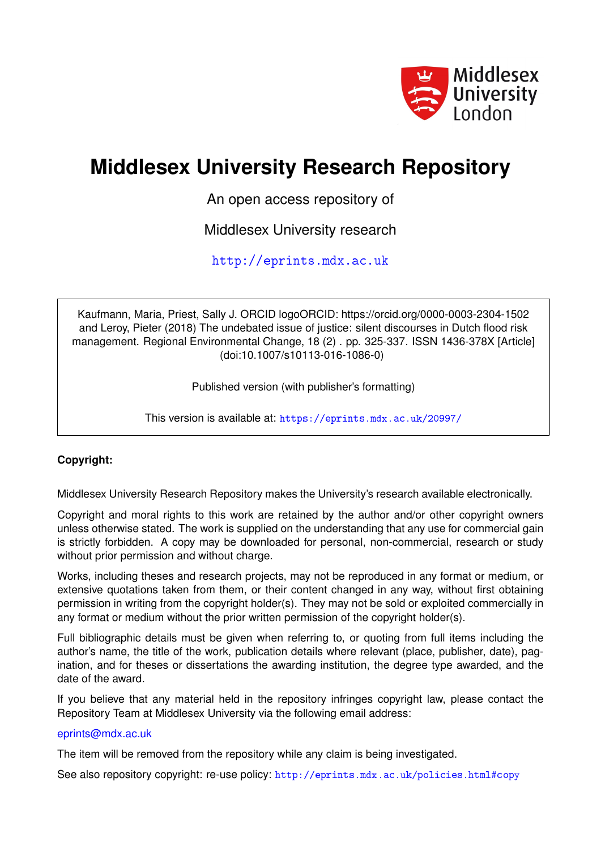

# **Middlesex University Research Repository**

An open access repository of

Middlesex University research

<http://eprints.mdx.ac.uk>

Kaufmann, Maria, Priest, Sally J. ORCID logoORCID: https://orcid.org/0000-0003-2304-1502 and Leroy, Pieter (2018) The undebated issue of justice: silent discourses in Dutch flood risk management. Regional Environmental Change, 18 (2) . pp. 325-337. ISSN 1436-378X [Article] (doi:10.1007/s10113-016-1086-0)

Published version (with publisher's formatting)

This version is available at: <https://eprints.mdx.ac.uk/20997/>

# **Copyright:**

Middlesex University Research Repository makes the University's research available electronically.

Copyright and moral rights to this work are retained by the author and/or other copyright owners unless otherwise stated. The work is supplied on the understanding that any use for commercial gain is strictly forbidden. A copy may be downloaded for personal, non-commercial, research or study without prior permission and without charge.

Works, including theses and research projects, may not be reproduced in any format or medium, or extensive quotations taken from them, or their content changed in any way, without first obtaining permission in writing from the copyright holder(s). They may not be sold or exploited commercially in any format or medium without the prior written permission of the copyright holder(s).

Full bibliographic details must be given when referring to, or quoting from full items including the author's name, the title of the work, publication details where relevant (place, publisher, date), pagination, and for theses or dissertations the awarding institution, the degree type awarded, and the date of the award.

If you believe that any material held in the repository infringes copyright law, please contact the Repository Team at Middlesex University via the following email address:

## [eprints@mdx.ac.uk](mailto:eprints@mdx.ac.uk)

The item will be removed from the repository while any claim is being investigated.

See also repository copyright: re-use policy: <http://eprints.mdx.ac.uk/policies.html#copy>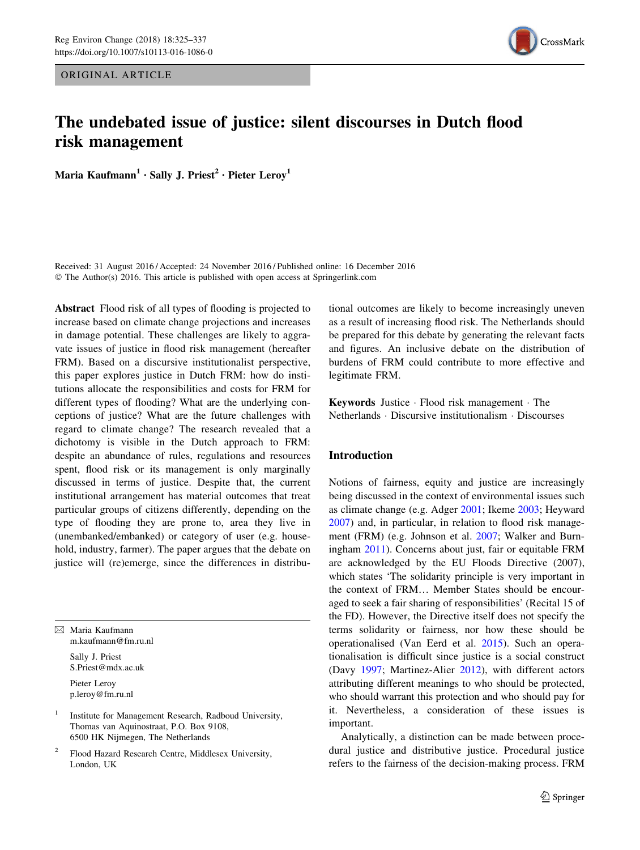ORIGINAL ARTICLE



# The undebated issue of justice: silent discourses in Dutch flood risk management

Maria Kaufmann<sup>1</sup> · Sally J. Priest<sup>2</sup> · Pieter Leroy<sup>1</sup>

Received: 31 August 2016 / Accepted: 24 November 2016 / Published online: 16 December 2016 © The Author(s) 2016. This article is published with open access at Springerlink.com

Abstract Flood risk of all types of flooding is projected to increase based on climate change projections and increases in damage potential. These challenges are likely to aggravate issues of justice in flood risk management (hereafter FRM). Based on a discursive institutionalist perspective, this paper explores justice in Dutch FRM: how do institutions allocate the responsibilities and costs for FRM for different types of flooding? What are the underlying conceptions of justice? What are the future challenges with regard to climate change? The research revealed that a dichotomy is visible in the Dutch approach to FRM: despite an abundance of rules, regulations and resources spent, flood risk or its management is only marginally discussed in terms of justice. Despite that, the current institutional arrangement has material outcomes that treat particular groups of citizens differently, depending on the type of flooding they are prone to, area they live in (unembanked/embanked) or category of user (e.g. household, industry, farmer). The paper argues that the debate on justice will (re)emerge, since the differences in distribu-

 $\boxtimes$  Maria Kaufmann m.kaufmann@fm.ru.nl

Sally J. Priest S.Priest@mdx.ac.uk

Pieter Leroy p.leroy@fm.ru.nl

<sup>1</sup> Institute for Management Research, Radboud University, Thomas van Aquinostraat, P.O. Box 9108, 6500 HK Nijmegen, The Netherlands

Flood Hazard Research Centre, Middlesex University, London, UK

tional outcomes are likely to become increasingly uneven as a result of increasing flood risk. The Netherlands should be prepared for this debate by generating the relevant facts and figures. An inclusive debate on the distribution of burdens of FRM could contribute to more effective and legitimate FRM.

Keywords Justice - Flood risk management - The Netherlands - Discursive institutionalism - Discourses

#### Introduction

Notions of fairness, equity and justice are increasingly being discussed in the context of environmental issues such as climate change (e.g. Adger [2001;](#page-12-0) Ikeme [2003](#page-12-0); Heyward [2007](#page-12-0)) and, in particular, in relation to flood risk management (FRM) (e.g. Johnson et al. [2007](#page-12-0); Walker and Burningham [2011](#page-13-0)). Concerns about just, fair or equitable FRM are acknowledged by the EU Floods Directive (2007), which states 'The solidarity principle is very important in the context of FRM… Member States should be encouraged to seek a fair sharing of responsibilities' (Recital 15 of the FD). However, the Directive itself does not specify the terms solidarity or fairness, nor how these should be operationalised (Van Eerd et al. [2015](#page-13-0)). Such an operationalisation is difficult since justice is a social construct (Davy [1997;](#page-12-0) Martinez-Alier [2012](#page-13-0)), with different actors attributing different meanings to who should be protected, who should warrant this protection and who should pay for it. Nevertheless, a consideration of these issues is important.

Analytically, a distinction can be made between procedural justice and distributive justice. Procedural justice refers to the fairness of the decision-making process. FRM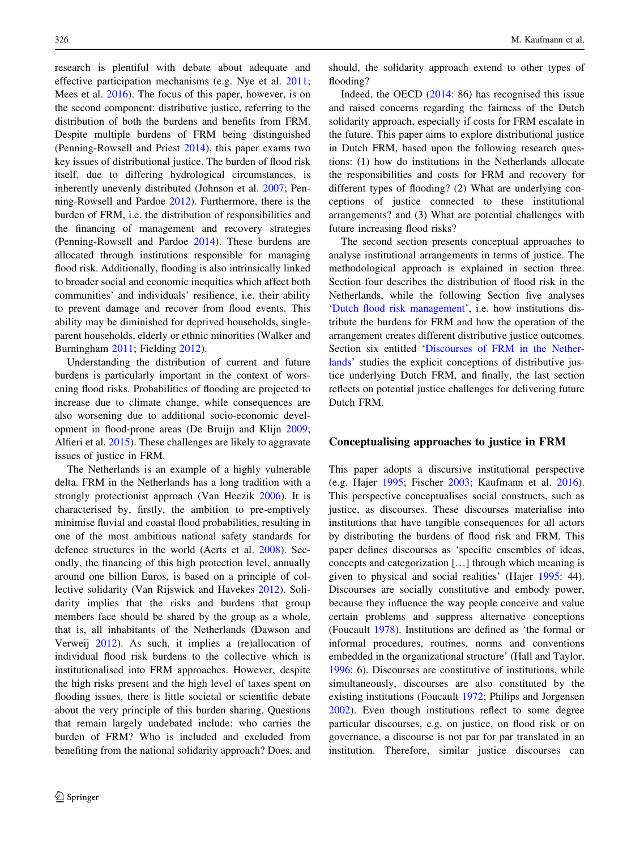research is plentiful with debate about adequate and effective participation mechanisms (e.g. Nye et al. [2011](#page-13-0); Mees et al. [2016](#page-13-0)). The focus of this paper, however, is on the second component: distributive justice, referring to the distribution of both the burdens and benefits from FRM. Despite multiple burdens of FRM being distinguished (Penning-Rowsell and Priest [2014](#page-13-0)), this paper exams two key issues of distributional justice. The burden of flood risk itself, due to differing hydrological circumstances, is inherently unevenly distributed (Johnson et al. [2007;](#page-12-0) Penning-Rowsell and Pardoe [2012\)](#page-13-0). Furthermore, there is the burden of FRM, i.e. the distribution of responsibilities and the financing of management and recovery strategies (Penning-Rowsell and Pardoe [2014](#page-13-0)). These burdens are allocated through institutions responsible for managing flood risk. Additionally, flooding is also intrinsically linked to broader social and economic inequities which affect both communities' and individuals' resilience, i.e. their ability to prevent damage and recover from flood events. This ability may be diminished for deprived households, singleparent households, elderly or ethnic minorities (Walker and Burningham [2011](#page-13-0); Fielding [2012](#page-12-0)).

Understanding the distribution of current and future burdens is particularly important in the context of worsening flood risks. Probabilities of flooding are projected to increase due to climate change, while consequences are also worsening due to additional socio-economic development in flood-prone areas (De Bruijn and Klijn [2009](#page-12-0); Alfieri et al. [2015](#page-12-0)). These challenges are likely to aggravate issues of justice in FRM.

The Netherlands is an example of a highly vulnerable delta. FRM in the Netherlands has a long tradition with a strongly protectionist approach (Van Heezik [2006](#page-13-0)). It is characterised by, firstly, the ambition to pre-emptively minimise fluvial and coastal flood probabilities, resulting in one of the most ambitious national safety standards for defence structures in the world (Aerts et al. [2008](#page-12-0)). Secondly, the financing of this high protection level, annually around one billion Euros, is based on a principle of collective solidarity (Van Rijswick and Havekes [2012](#page-13-0)). Solidarity implies that the risks and burdens that group members face should be shared by the group as a whole, that is, all inhabitants of the Netherlands (Dawson and Verweij [2012](#page-12-0)). As such, it implies a (re)allocation of individual flood risk burdens to the collective which is institutionalised into FRM approaches. However, despite the high risks present and the high level of taxes spent on flooding issues, there is little societal or scientific debate about the very principle of this burden sharing. Questions that remain largely undebated include: who carries the burden of FRM? Who is included and excluded from benefiting from the national solidarity approach? Does, and should, the solidarity approach extend to other types of flooding?

Indeed, the OECD [\(2014](#page-13-0): 86) has recognised this issue and raised concerns regarding the fairness of the Dutch solidarity approach, especially if costs for FRM escalate in the future. This paper aims to explore distributional justice in Dutch FRM, based upon the following research questions: (1) how do institutions in the Netherlands allocate the responsibilities and costs for FRM and recovery for different types of flooding? (2) What are underlying conceptions of justice connected to these institutional arrangements? and (3) What are potential challenges with future increasing flood risks?

The second section presents conceptual approaches to analyse institutional arrangements in terms of justice. The methodological approach is explained in section three. Section four describes the distribution of flood risk in the Netherlands, while the following Section five analyses ['Dutch flood risk management](#page-5-0)', i.e. how institutions distribute the burdens for FRM and how the operation of the arrangement creates different distributive justice outcomes. Section six entitled ['Discourses of FRM in the Nether](#page-8-0)[lands](#page-8-0)' studies the explicit conceptions of distributive justice underlying Dutch FRM, and finally, the last section reflects on potential justice challenges for delivering future Dutch FRM.

#### Conceptualising approaches to justice in FRM

This paper adopts a discursive institutional perspective (e.g. Hajer [1995;](#page-12-0) Fischer [2003](#page-12-0); Kaufmann et al. [2016](#page-12-0)). This perspective conceptualises social constructs, such as justice, as discourses. These discourses materialise into institutions that have tangible consequences for all actors by distributing the burdens of flood risk and FRM. This paper defines discourses as 'specific ensembles of ideas, concepts and categorization […] through which meaning is given to physical and social realities' (Hajer [1995:](#page-12-0) 44). Discourses are socially constitutive and embody power, because they influence the way people conceive and value certain problems and suppress alternative conceptions (Foucault [1978\)](#page-12-0). Institutions are defined as 'the formal or informal procedures, routines, norms and conventions embedded in the organizational structure' (Hall and Taylor, [1996](#page-12-0): 6). Discourses are constitutive of institutions, while simultaneously, discourses are also constituted by the existing institutions (Foucault [1972;](#page-12-0) Philips and Jorgensen [2002](#page-13-0)). Even though institutions reflect to some degree particular discourses, e.g. on justice, on flood risk or on governance, a discourse is not par for par translated in an institution. Therefore, similar justice discourses can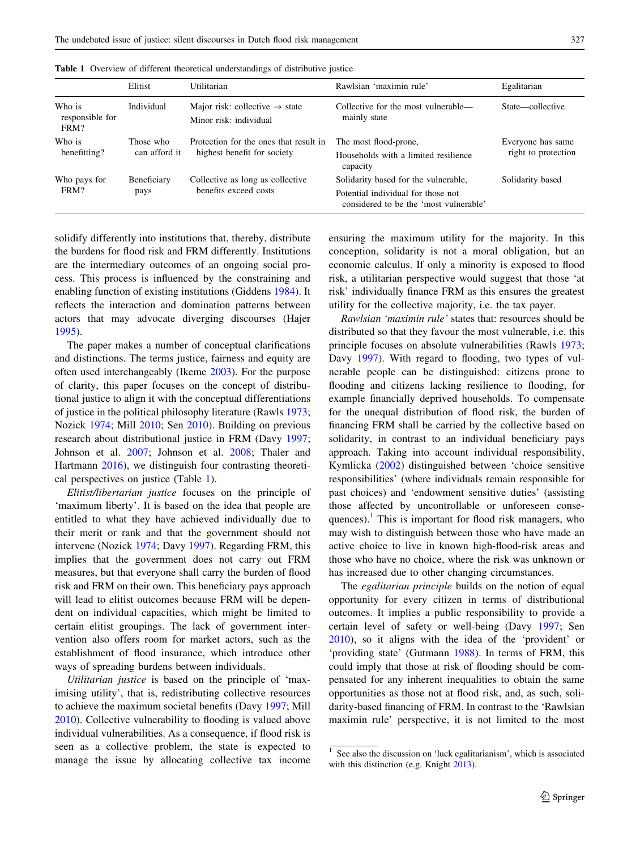|                                   | Elitist                    | Utilitarian                                                           | Rawlsian 'maximin rule'                                                      | Egalitarian                              |
|-----------------------------------|----------------------------|-----------------------------------------------------------------------|------------------------------------------------------------------------------|------------------------------------------|
| Who is<br>responsible for<br>FRM? | Individual                 | Major risk: collective $\rightarrow$ state<br>Minor risk: individual  | Collective for the most vulnerable—<br>mainly state                          | State—collective                         |
| Who is<br>benefitting?            | Those who<br>can afford it | Protection for the ones that result in<br>highest benefit for society | The most flood-prone,                                                        | Everyone has same<br>right to protection |
|                                   |                            |                                                                       | Households with a limited resilience<br>capacity                             |                                          |
| Who pays for<br>FRM?              | Beneficiary<br>pays        | Collective as long as collective<br>benefits exceed costs             | Solidarity based for the vulnerable,                                         | Solidarity based                         |
|                                   |                            |                                                                       | Potential individual for those not<br>considered to be the 'most vulnerable' |                                          |

Table 1 Overview of different theoretical understandings of distributive justice

solidify differently into institutions that, thereby, distribute the burdens for flood risk and FRM differently. Institutions are the intermediary outcomes of an ongoing social process. This process is influenced by the constraining and enabling function of existing institutions (Giddens [1984\)](#page-12-0). It reflects the interaction and domination patterns between actors that may advocate diverging discourses (Hajer [1995\)](#page-12-0).

The paper makes a number of conceptual clarifications and distinctions. The terms justice, fairness and equity are often used interchangeably (Ikeme [2003\)](#page-12-0). For the purpose of clarity, this paper focuses on the concept of distributional justice to align it with the conceptual differentiations of justice in the political philosophy literature (Rawls [1973](#page-13-0); Nozick [1974](#page-13-0); Mill [2010;](#page-13-0) Sen [2010](#page-13-0)). Building on previous research about distributional justice in FRM (Davy [1997](#page-12-0); Johnson et al. [2007](#page-12-0); Johnson et al. [2008](#page-12-0); Thaler and Hartmann [2016\)](#page-13-0), we distinguish four contrasting theoretical perspectives on justice (Table 1).

Elitist/libertarian justice focuses on the principle of 'maximum liberty'. It is based on the idea that people are entitled to what they have achieved individually due to their merit or rank and that the government should not intervene (Nozick [1974;](#page-13-0) Davy [1997\)](#page-12-0). Regarding FRM, this implies that the government does not carry out FRM measures, but that everyone shall carry the burden of flood risk and FRM on their own. This beneficiary pays approach will lead to elitist outcomes because FRM will be dependent on individual capacities, which might be limited to certain elitist groupings. The lack of government intervention also offers room for market actors, such as the establishment of flood insurance, which introduce other ways of spreading burdens between individuals.

Utilitarian justice is based on the principle of 'maximising utility', that is, redistributing collective resources to achieve the maximum societal benefits (Davy [1997;](#page-12-0) Mill [2010\)](#page-13-0). Collective vulnerability to flooding is valued above individual vulnerabilities. As a consequence, if flood risk is seen as a collective problem, the state is expected to manage the issue by allocating collective tax income ensuring the maximum utility for the majority. In this conception, solidarity is not a moral obligation, but an economic calculus. If only a minority is exposed to flood risk, a utilitarian perspective would suggest that those 'at risk' individually finance FRM as this ensures the greatest utility for the collective majority, i.e. the tax payer.

Rawlsian 'maximin rule' states that: resources should be distributed so that they favour the most vulnerable, i.e. this principle focuses on absolute vulnerabilities (Rawls [1973](#page-13-0); Davy [1997](#page-12-0)). With regard to flooding, two types of vulnerable people can be distinguished: citizens prone to flooding and citizens lacking resilience to flooding, for example financially deprived households. To compensate for the unequal distribution of flood risk, the burden of financing FRM shall be carried by the collective based on solidarity, in contrast to an individual beneficiary pays approach. Taking into account individual responsibility, Kymlicka [\(2002](#page-13-0)) distinguished between 'choice sensitive responsibilities' (where individuals remain responsible for past choices) and 'endowment sensitive duties' (assisting those affected by uncontrollable or unforeseen consequences). $\frac{1}{1}$  This is important for flood risk managers, who may wish to distinguish between those who have made an active choice to live in known high-flood-risk areas and those who have no choice, where the risk was unknown or has increased due to other changing circumstances.

The *egalitarian principle* builds on the notion of equal opportunity for every citizen in terms of distributional outcomes. It implies a public responsibility to provide a certain level of safety or well-being (Davy [1997;](#page-12-0) Sen [2010](#page-13-0)), so it aligns with the idea of the 'provident' or 'providing state' (Gutmann [1988](#page-12-0)). In terms of FRM, this could imply that those at risk of flooding should be compensated for any inherent inequalities to obtain the same opportunities as those not at flood risk, and, as such, solidarity-based financing of FRM. In contrast to the 'Rawlsian maximin rule' perspective, it is not limited to the most

<sup>1</sup> See also the discussion on 'luck egalitarianism', which is associated with this distinction (e.g. Knight [2013](#page-13-0)).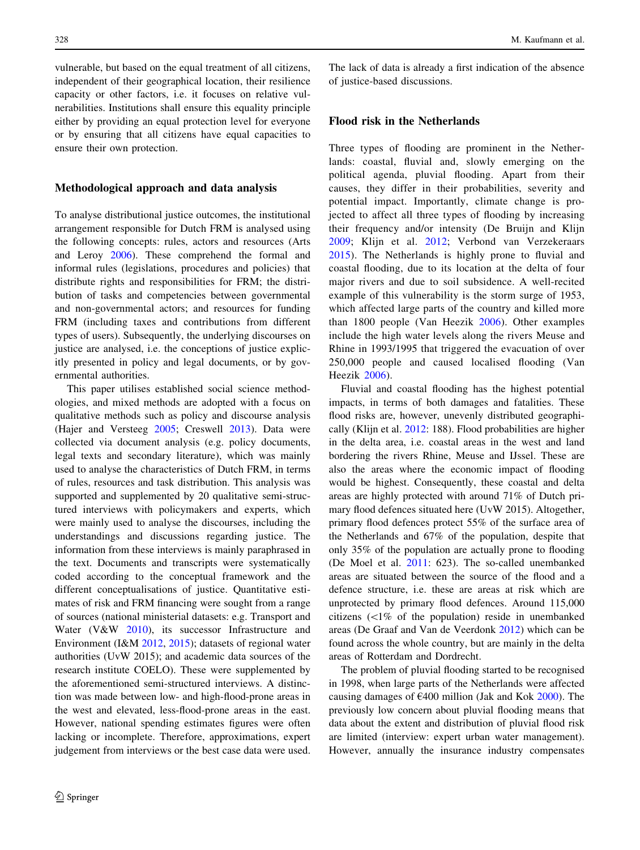vulnerable, but based on the equal treatment of all citizens, independent of their geographical location, their resilience capacity or other factors, i.e. it focuses on relative vulnerabilities. Institutions shall ensure this equality principle either by providing an equal protection level for everyone or by ensuring that all citizens have equal capacities to ensure their own protection.

#### Methodological approach and data analysis

To analyse distributional justice outcomes, the institutional arrangement responsible for Dutch FRM is analysed using the following concepts: rules, actors and resources (Arts and Leroy [2006\)](#page-12-0). These comprehend the formal and informal rules (legislations, procedures and policies) that distribute rights and responsibilities for FRM; the distribution of tasks and competencies between governmental and non-governmental actors; and resources for funding FRM (including taxes and contributions from different types of users). Subsequently, the underlying discourses on justice are analysed, i.e. the conceptions of justice explicitly presented in policy and legal documents, or by governmental authorities.

This paper utilises established social science methodologies, and mixed methods are adopted with a focus on qualitative methods such as policy and discourse analysis (Hajer and Versteeg [2005;](#page-12-0) Creswell [2013\)](#page-12-0). Data were collected via document analysis (e.g. policy documents, legal texts and secondary literature), which was mainly used to analyse the characteristics of Dutch FRM, in terms of rules, resources and task distribution. This analysis was supported and supplemented by 20 qualitative semi-structured interviews with policymakers and experts, which were mainly used to analyse the discourses, including the understandings and discussions regarding justice. The information from these interviews is mainly paraphrased in the text. Documents and transcripts were systematically coded according to the conceptual framework and the different conceptualisations of justice. Quantitative estimates of risk and FRM financing were sought from a range of sources (national ministerial datasets: e.g. Transport and Water (V&W [2010\)](#page-13-0), its successor Infrastructure and Environment (I&M [2012,](#page-12-0) [2015](#page-12-0)); datasets of regional water authorities (UvW 2015); and academic data sources of the research institute COELO). These were supplemented by the aforementioned semi-structured interviews. A distinction was made between low- and high-flood-prone areas in the west and elevated, less-flood-prone areas in the east. However, national spending estimates figures were often lacking or incomplete. Therefore, approximations, expert judgement from interviews or the best case data were used.

The lack of data is already a first indication of the absence of justice-based discussions.

#### Flood risk in the Netherlands

Three types of flooding are prominent in the Netherlands: coastal, fluvial and, slowly emerging on the political agenda, pluvial flooding. Apart from their causes, they differ in their probabilities, severity and potential impact. Importantly, climate change is projected to affect all three types of flooding by increasing their frequency and/or intensity (De Bruijn and Klijn [2009](#page-12-0); Klijn et al. [2012](#page-13-0); Verbond van Verzekeraars [2015](#page-13-0)). The Netherlands is highly prone to fluvial and coastal flooding, due to its location at the delta of four major rivers and due to soil subsidence. A well-recited example of this vulnerability is the storm surge of 1953, which affected large parts of the country and killed more than 1800 people (Van Heezik [2006](#page-13-0)). Other examples include the high water levels along the rivers Meuse and Rhine in 1993/1995 that triggered the evacuation of over 250,000 people and caused localised flooding (Van Heezik [2006](#page-13-0)).

Fluvial and coastal flooding has the highest potential impacts, in terms of both damages and fatalities. These flood risks are, however, unevenly distributed geographically (Klijn et al. [2012:](#page-13-0) 188). Flood probabilities are higher in the delta area, i.e. coastal areas in the west and land bordering the rivers Rhine, Meuse and IJssel. These are also the areas where the economic impact of flooding would be highest. Consequently, these coastal and delta areas are highly protected with around 71% of Dutch primary flood defences situated here (UvW 2015). Altogether, primary flood defences protect 55% of the surface area of the Netherlands and 67% of the population, despite that only 35% of the population are actually prone to flooding (De Moel et al. [2011](#page-12-0): 623). The so-called unembanked areas are situated between the source of the flood and a defence structure, i.e. these are areas at risk which are unprotected by primary flood defences. Around 115,000 citizens  $\langle \langle 1\% \rangle$  of the population) reside in unembanked areas (De Graaf and Van de Veerdonk [2012](#page-12-0)) which can be found across the whole country, but are mainly in the delta areas of Rotterdam and Dordrecht.

The problem of pluvial flooding started to be recognised in 1998, when large parts of the Netherlands were affected causing damages of  $\epsilon$ 400 million (Jak and Kok [2000\)](#page-12-0). The previously low concern about pluvial flooding means that data about the extent and distribution of pluvial flood risk are limited (interview: expert urban water management). However, annually the insurance industry compensates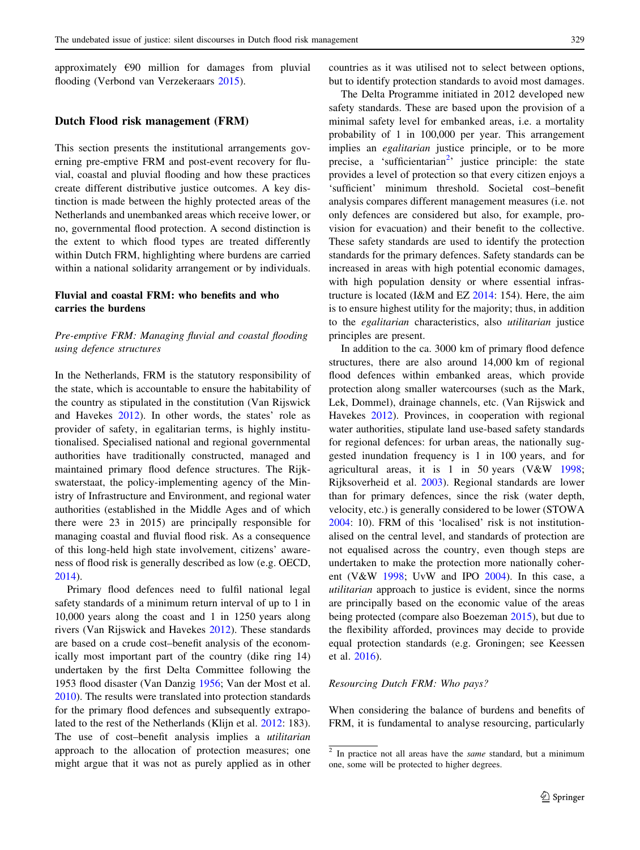<span id="page-5-0"></span>approximately €90 million for damages from pluvial flooding (Verbond van Verzekeraars [2015](#page-13-0)).

#### Dutch Flood risk management (FRM)

This section presents the institutional arrangements governing pre-emptive FRM and post-event recovery for fluvial, coastal and pluvial flooding and how these practices create different distributive justice outcomes. A key distinction is made between the highly protected areas of the Netherlands and unembanked areas which receive lower, or no, governmental flood protection. A second distinction is the extent to which flood types are treated differently within Dutch FRM, highlighting where burdens are carried within a national solidarity arrangement or by individuals.

#### Fluvial and coastal FRM: who benefits and who carries the burdens

#### Pre-emptive FRM: Managing fluvial and coastal flooding using defence structures

In the Netherlands, FRM is the statutory responsibility of the state, which is accountable to ensure the habitability of the country as stipulated in the constitution (Van Rijswick and Havekes [2012](#page-13-0)). In other words, the states' role as provider of safety, in egalitarian terms, is highly institutionalised. Specialised national and regional governmental authorities have traditionally constructed, managed and maintained primary flood defence structures. The Rijkswaterstaat, the policy-implementing agency of the Ministry of Infrastructure and Environment, and regional water authorities (established in the Middle Ages and of which there were 23 in 2015) are principally responsible for managing coastal and fluvial flood risk. As a consequence of this long-held high state involvement, citizens' awareness of flood risk is generally described as low (e.g. OECD, [2014\)](#page-13-0).

Primary flood defences need to fulfil national legal safety standards of a minimum return interval of up to 1 in 10,000 years along the coast and 1 in 1250 years along rivers (Van Rijswick and Havekes [2012\)](#page-13-0). These standards are based on a crude cost–benefit analysis of the economically most important part of the country (dike ring 14) undertaken by the first Delta Committee following the 1953 flood disaster (Van Danzig [1956](#page-13-0); Van der Most et al. [2010\)](#page-13-0). The results were translated into protection standards for the primary flood defences and subsequently extrapolated to the rest of the Netherlands (Klijn et al. [2012:](#page-13-0) 183). The use of cost-benefit analysis implies a *utilitarian* approach to the allocation of protection measures; one might argue that it was not as purely applied as in other countries as it was utilised not to select between options, but to identify protection standards to avoid most damages.

The Delta Programme initiated in 2012 developed new safety standards. These are based upon the provision of a minimal safety level for embanked areas, i.e. a mortality probability of 1 in 100,000 per year. This arrangement implies an *egalitarian* justice principle, or to be more precise, a 'sufficientarian<sup>2</sup>' justice principle: the state provides a level of protection so that every citizen enjoys a 'sufficient' minimum threshold. Societal cost–benefit analysis compares different management measures (i.e. not only defences are considered but also, for example, provision for evacuation) and their benefit to the collective. These safety standards are used to identify the protection standards for the primary defences. Safety standards can be increased in areas with high potential economic damages, with high population density or where essential infrastructure is located (I&M and EZ [2014](#page-12-0): 154). Here, the aim is to ensure highest utility for the majority; thus, in addition to the egalitarian characteristics, also utilitarian justice principles are present.

In addition to the ca. 3000 km of primary flood defence structures, there are also around 14,000 km of regional flood defences within embanked areas, which provide protection along smaller watercourses (such as the Mark, Lek, Dommel), drainage channels, etc. (Van Rijswick and Havekes [2012\)](#page-13-0). Provinces, in cooperation with regional water authorities, stipulate land use-based safety standards for regional defences: for urban areas, the nationally suggested inundation frequency is 1 in 100 years, and for agricultural areas, it is 1 in 50 years (V&W [1998](#page-13-0); Rijksoverheid et al. [2003](#page-13-0)). Regional standards are lower than for primary defences, since the risk (water depth, velocity, etc.) is generally considered to be lower (STOWA [2004](#page-13-0): 10). FRM of this 'localised' risk is not institutionalised on the central level, and standards of protection are not equalised across the country, even though steps are undertaken to make the protection more nationally coherent (V&W  $1998$ ; UvW and IPO [2004](#page-13-0)). In this case, a utilitarian approach to justice is evident, since the norms are principally based on the economic value of the areas being protected (compare also Boezeman [2015](#page-12-0)), but due to the flexibility afforded, provinces may decide to provide equal protection standards (e.g. Groningen; see Keessen et al. [2016\)](#page-13-0).

#### Resourcing Dutch FRM: Who pays?

When considering the balance of burdens and benefits of FRM, it is fundamental to analyse resourcing, particularly

 $2$  In practice not all areas have the *same* standard, but a minimum one, some will be protected to higher degrees.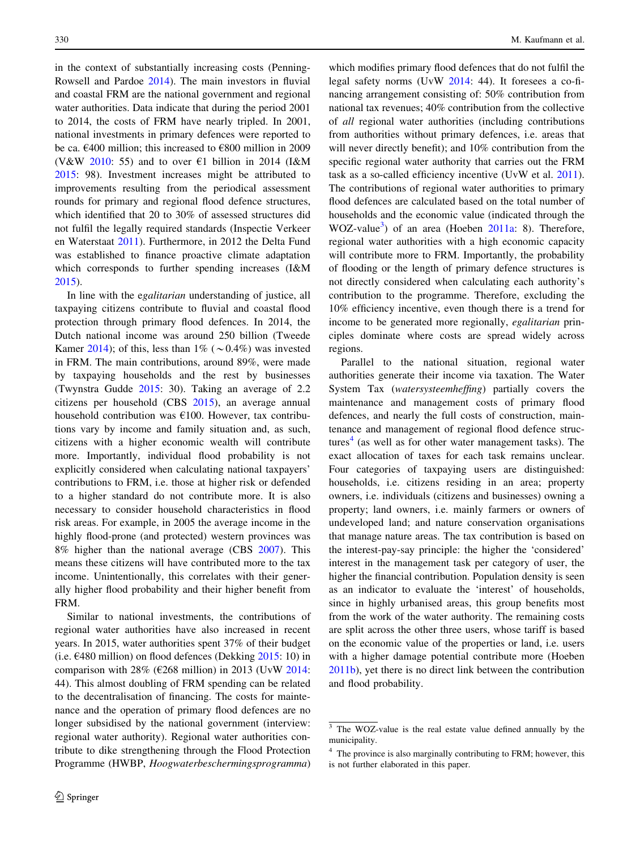in the context of substantially increasing costs (Penning-Rowsell and Pardoe [2014](#page-13-0)). The main investors in fluvial and coastal FRM are the national government and regional water authorities. Data indicate that during the period 2001 to 2014, the costs of FRM have nearly tripled. In 2001, national investments in primary defences were reported to be ca.  $\epsilon$ 400 million; this increased to  $\epsilon$ 800 million in 2009 (V&W [2010](#page-13-0): 55) and to over  $\epsilon$ 1 billion in 2014 (I&M [2015:](#page-12-0) 98). Investment increases might be attributed to improvements resulting from the periodical assessment rounds for primary and regional flood defence structures, which identified that 20 to 30% of assessed structures did not fulfil the legally required standards (Inspectie Verkeer en Waterstaat [2011\)](#page-12-0). Furthermore, in 2012 the Delta Fund was established to finance proactive climate adaptation which corresponds to further spending increases (I&M [2015\)](#page-12-0).

In line with the egalitarian understanding of justice, all taxpaying citizens contribute to fluvial and coastal flood protection through primary flood defences. In 2014, the Dutch national income was around 250 billion (Tweede Kamer [2014](#page-12-0)); of this, less than  $1\%$  ( $\sim 0.4\%$ ) was invested in FRM. The main contributions, around 89%, were made by taxpaying households and the rest by businesses (Twynstra Gudde [2015](#page-12-0): 30). Taking an average of 2.2 citizens per household (CBS [2015\)](#page-12-0), an average annual household contribution was €100. However, tax contributions vary by income and family situation and, as such, citizens with a higher economic wealth will contribute more. Importantly, individual flood probability is not explicitly considered when calculating national taxpayers' contributions to FRM, i.e. those at higher risk or defended to a higher standard do not contribute more. It is also necessary to consider household characteristics in flood risk areas. For example, in 2005 the average income in the highly flood-prone (and protected) western provinces was 8% higher than the national average (CBS [2007](#page-12-0)). This means these citizens will have contributed more to the tax income. Unintentionally, this correlates with their generally higher flood probability and their higher benefit from FRM.

Similar to national investments, the contributions of regional water authorities have also increased in recent years. In 2015, water authorities spent 37% of their budget (i.e.  $\epsilon$ 480 million) on flood defences (Dekking [2015](#page-12-0): 10) in comparison with 28% ( $\epsilon$ 268 million) in 2013 (UvW [2014](#page-13-0): 44). This almost doubling of FRM spending can be related to the decentralisation of financing. The costs for maintenance and the operation of primary flood defences are no longer subsidised by the national government (interview: regional water authority). Regional water authorities contribute to dike strengthening through the Flood Protection Programme (HWBP, Hoogwaterbeschermingsprogramma)

which modifies primary flood defences that do not fulfil the legal safety norms (UvW [2014:](#page-13-0) 44). It foresees a co-financing arrangement consisting of: 50% contribution from national tax revenues; 40% contribution from the collective of all regional water authorities (including contributions from authorities without primary defences, i.e. areas that will never directly benefit); and  $10\%$  contribution from the specific regional water authority that carries out the FRM task as a so-called efficiency incentive (UvW et al. [2011](#page-13-0)). The contributions of regional water authorities to primary flood defences are calculated based on the total number of households and the economic value (indicated through the WOZ-value<sup>3</sup>) of an area (Hoeben [2011a:](#page-12-0) 8). Therefore, regional water authorities with a high economic capacity will contribute more to FRM. Importantly, the probability of flooding or the length of primary defence structures is not directly considered when calculating each authority's contribution to the programme. Therefore, excluding the 10% efficiency incentive, even though there is a trend for income to be generated more regionally, egalitarian principles dominate where costs are spread widely across regions.

Parallel to the national situation, regional water authorities generate their income via taxation. The Water System Tax (watersysteemheffing) partially covers the maintenance and management costs of primary flood defences, and nearly the full costs of construction, maintenance and management of regional flood defence structures<sup>4</sup> (as well as for other water management tasks). The exact allocation of taxes for each task remains unclear. Four categories of taxpaying users are distinguished: households, i.e. citizens residing in an area; property owners, i.e. individuals (citizens and businesses) owning a property; land owners, i.e. mainly farmers or owners of undeveloped land; and nature conservation organisations that manage nature areas. The tax contribution is based on the interest-pay-say principle: the higher the 'considered' interest in the management task per category of user, the higher the financial contribution. Population density is seen as an indicator to evaluate the 'interest' of households, since in highly urbanised areas, this group benefits most from the work of the water authority. The remaining costs are split across the other three users, whose tariff is based on the economic value of the properties or land, i.e. users with a higher damage potential contribute more (Hoeben [2011b](#page-12-0)), yet there is no direct link between the contribution and flood probability.

 $\frac{3}{3}$  The WOZ-value is the real estate value defined annually by the municipality.

 $4\text{ The province is also marginally contributing to FRM; however, this}$ is not further elaborated in this paper.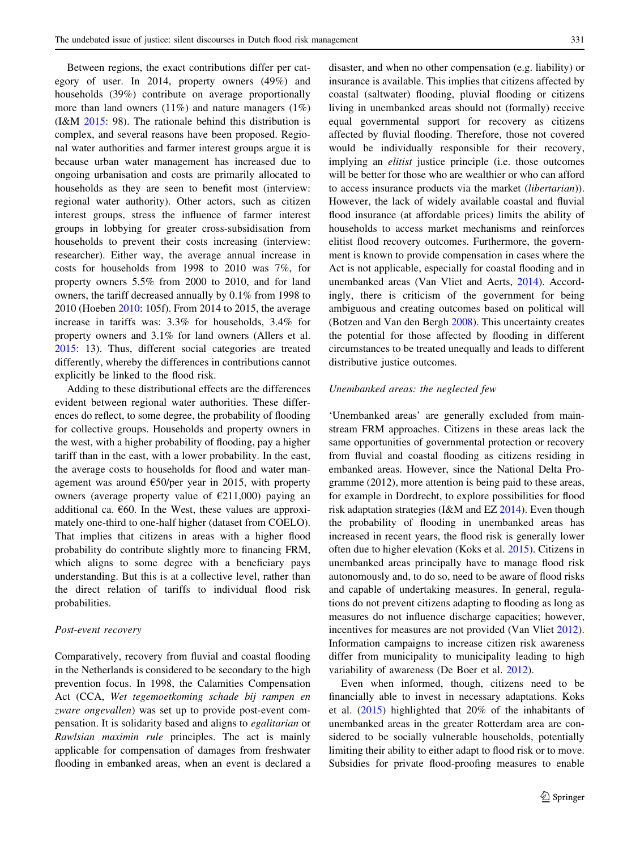Between regions, the exact contributions differ per category of user. In 2014, property owners (49%) and households (39%) contribute on average proportionally more than land owners (11%) and nature managers (1%) (I&M [2015](#page-12-0): 98). The rationale behind this distribution is complex, and several reasons have been proposed. Regional water authorities and farmer interest groups argue it is because urban water management has increased due to ongoing urbanisation and costs are primarily allocated to households as they are seen to benefit most (interview: regional water authority). Other actors, such as citizen interest groups, stress the influence of farmer interest groups in lobbying for greater cross-subsidisation from households to prevent their costs increasing (interview: researcher). Either way, the average annual increase in costs for households from 1998 to 2010 was 7%, for property owners 5.5% from 2000 to 2010, and for land owners, the tariff decreased annually by 0.1% from 1998 to 2010 (Hoeben 2010: 105f). From 2014 to 2015, the average increase in tariffs was: 3.3% for households, 3.4% for property owners and 3.1% for land owners (Allers et al. [2015:](#page-12-0) 13). Thus, different social categories are treated differently, whereby the differences in contributions cannot explicitly be linked to the flood risk.

Adding to these distributional effects are the differences evident between regional water authorities. These differences do reflect, to some degree, the probability of flooding for collective groups. Households and property owners in the west, with a higher probability of flooding, pay a higher tariff than in the east, with a lower probability. In the east, the average costs to households for flood and water management was around  $\epsilon$ 50/per year in 2015, with property owners (average property value of  $E(211,000)$  paying an additional ca.  $660$ . In the West, these values are approximately one-third to one-half higher (dataset from COELO). That implies that citizens in areas with a higher flood probability do contribute slightly more to financing FRM, which aligns to some degree with a beneficiary pays understanding. But this is at a collective level, rather than the direct relation of tariffs to individual flood risk probabilities.

#### Post-event recovery

Comparatively, recovery from fluvial and coastal flooding in the Netherlands is considered to be secondary to the high prevention focus. In 1998, the Calamities Compensation Act (CCA, Wet tegemoetkoming schade bij rampen en zware ongevallen) was set up to provide post-event compensation. It is solidarity based and aligns to egalitarian or Rawlsian maximin rule principles. The act is mainly applicable for compensation of damages from freshwater flooding in embanked areas, when an event is declared a disaster, and when no other compensation (e.g. liability) or insurance is available. This implies that citizens affected by coastal (saltwater) flooding, pluvial flooding or citizens living in unembanked areas should not (formally) receive equal governmental support for recovery as citizens affected by fluvial flooding. Therefore, those not covered would be individually responsible for their recovery, implying an elitist justice principle (i.e. those outcomes will be better for those who are wealthier or who can afford to access insurance products via the market (libertarian)). However, the lack of widely available coastal and fluvial flood insurance (at affordable prices) limits the ability of households to access market mechanisms and reinforces elitist flood recovery outcomes. Furthermore, the government is known to provide compensation in cases where the Act is not applicable, especially for coastal flooding and in unembanked areas (Van Vliet and Aerts, [2014\)](#page-13-0). Accordingly, there is criticism of the government for being ambiguous and creating outcomes based on political will (Botzen and Van den Bergh [2008](#page-12-0)). This uncertainty creates the potential for those affected by flooding in different circumstances to be treated unequally and leads to different distributive justice outcomes.

#### Unembanked areas: the neglected few

'Unembanked areas' are generally excluded from mainstream FRM approaches. Citizens in these areas lack the same opportunities of governmental protection or recovery from fluvial and coastal flooding as citizens residing in embanked areas. However, since the National Delta Programme (2012), more attention is being paid to these areas, for example in Dordrecht, to explore possibilities for flood risk adaptation strategies (I&M and EZ [2014](#page-12-0)). Even though the probability of flooding in unembanked areas has increased in recent years, the flood risk is generally lower often due to higher elevation (Koks et al. [2015\)](#page-13-0). Citizens in unembanked areas principally have to manage flood risk autonomously and, to do so, need to be aware of flood risks and capable of undertaking measures. In general, regulations do not prevent citizens adapting to flooding as long as measures do not influence discharge capacities; however, incentives for measures are not provided (Van Vliet [2012](#page-13-0)). Information campaigns to increase citizen risk awareness differ from municipality to municipality leading to high variability of awareness (De Boer et al. [2012](#page-12-0)).

Even when informed, though, citizens need to be financially able to invest in necessary adaptations. Koks et al. ([2015\)](#page-13-0) highlighted that 20% of the inhabitants of unembanked areas in the greater Rotterdam area are considered to be socially vulnerable households, potentially limiting their ability to either adapt to flood risk or to move. Subsidies for private flood-proofing measures to enable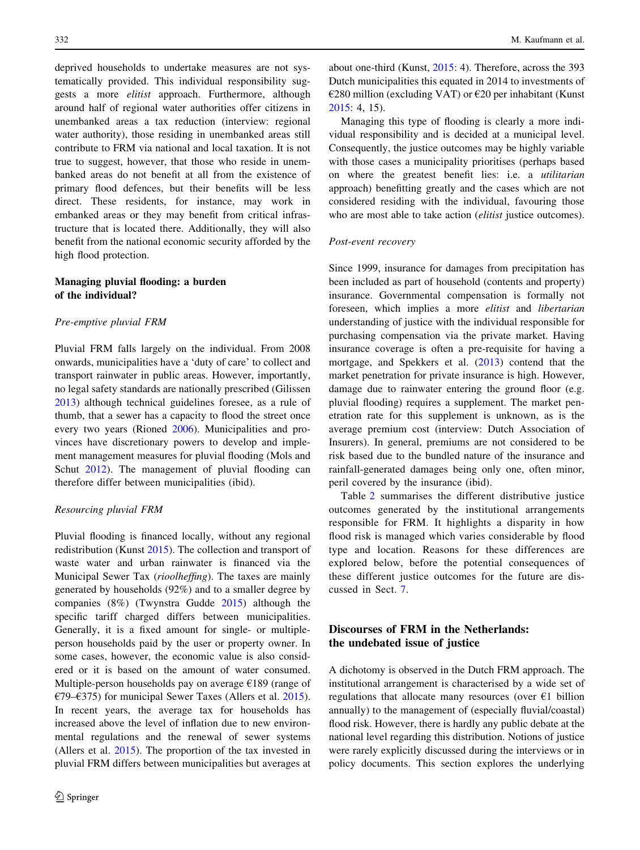<span id="page-8-0"></span>deprived households to undertake measures are not systematically provided. This individual responsibility suggests a more elitist approach. Furthermore, although around half of regional water authorities offer citizens in unembanked areas a tax reduction (interview: regional water authority), those residing in unembanked areas still contribute to FRM via national and local taxation. It is not true to suggest, however, that those who reside in unembanked areas do not benefit at all from the existence of primary flood defences, but their benefits will be less direct. These residents, for instance, may work in embanked areas or they may benefit from critical infrastructure that is located there. Additionally, they will also benefit from the national economic security afforded by the high flood protection.

#### Managing pluvial flooding: a burden of the individual?

#### Pre-emptive pluvial FRM

Pluvial FRM falls largely on the individual. From 2008 onwards, municipalities have a 'duty of care' to collect and transport rainwater in public areas. However, importantly, no legal safety standards are nationally prescribed (Gilissen [2013\)](#page-12-0) although technical guidelines foresee, as a rule of thumb, that a sewer has a capacity to flood the street once every two years (Rioned [2006](#page-13-0)). Municipalities and provinces have discretionary powers to develop and implement management measures for pluvial flooding (Mols and Schut [2012](#page-13-0)). The management of pluvial flooding can therefore differ between municipalities (ibid).

#### Resourcing pluvial FRM

Pluvial flooding is financed locally, without any regional redistribution (Kunst [2015](#page-13-0)). The collection and transport of waste water and urban rainwater is financed via the Municipal Sewer Tax (rioolheffing). The taxes are mainly generated by households (92%) and to a smaller degree by companies (8%) (Twynstra Gudde [2015](#page-12-0)) although the specific tariff charged differs between municipalities. Generally, it is a fixed amount for single- or multipleperson households paid by the user or property owner. In some cases, however, the economic value is also considered or it is based on the amount of water consumed. Multiple-person households pay on average €189 (range of €79–€375) for municipal Sewer Taxes (Allers et al. [2015](#page-12-0)). In recent years, the average tax for households has increased above the level of inflation due to new environmental regulations and the renewal of sewer systems (Allers et al. [2015](#page-12-0)). The proportion of the tax invested in pluvial FRM differs between municipalities but averages at

about one-third (Kunst, [2015:](#page-13-0) 4). Therefore, across the 393 Dutch municipalities this equated in 2014 to investments of  $\epsilon$ 280 million (excluding VAT) or  $\epsilon$ 20 per inhabitant (Kunst [2015](#page-13-0): 4, 15).

Managing this type of flooding is clearly a more individual responsibility and is decided at a municipal level. Consequently, the justice outcomes may be highly variable with those cases a municipality prioritises (perhaps based on where the greatest benefit lies: i.e. a utilitarian approach) benefitting greatly and the cases which are not considered residing with the individual, favouring those who are most able to take action *(elitist* justice outcomes).

#### Post-event recovery

Since 1999, insurance for damages from precipitation has been included as part of household (contents and property) insurance. Governmental compensation is formally not foreseen, which implies a more elitist and libertarian understanding of justice with the individual responsible for purchasing compensation via the private market. Having insurance coverage is often a pre-requisite for having a mortgage, and Spekkers et al. [\(2013](#page-13-0)) contend that the market penetration for private insurance is high. However, damage due to rainwater entering the ground floor (e.g. pluvial flooding) requires a supplement. The market penetration rate for this supplement is unknown, as is the average premium cost (interview: Dutch Association of Insurers). In general, premiums are not considered to be risk based due to the bundled nature of the insurance and rainfall-generated damages being only one, often minor, peril covered by the insurance (ibid).

Table [2](#page-9-0) summarises the different distributive justice outcomes generated by the institutional arrangements responsible for FRM. It highlights a disparity in how flood risk is managed which varies considerable by flood type and location. Reasons for these differences are explored below, before the potential consequences of these different justice outcomes for the future are discussed in Sect. [7.](#page-10-0)

### Discourses of FRM in the Netherlands: the undebated issue of justice

A dichotomy is observed in the Dutch FRM approach. The institutional arrangement is characterised by a wide set of regulations that allocate many resources (over  $\epsilon$ 1 billion annually) to the management of (especially fluvial/coastal) flood risk. However, there is hardly any public debate at the national level regarding this distribution. Notions of justice were rarely explicitly discussed during the interviews or in policy documents. This section explores the underlying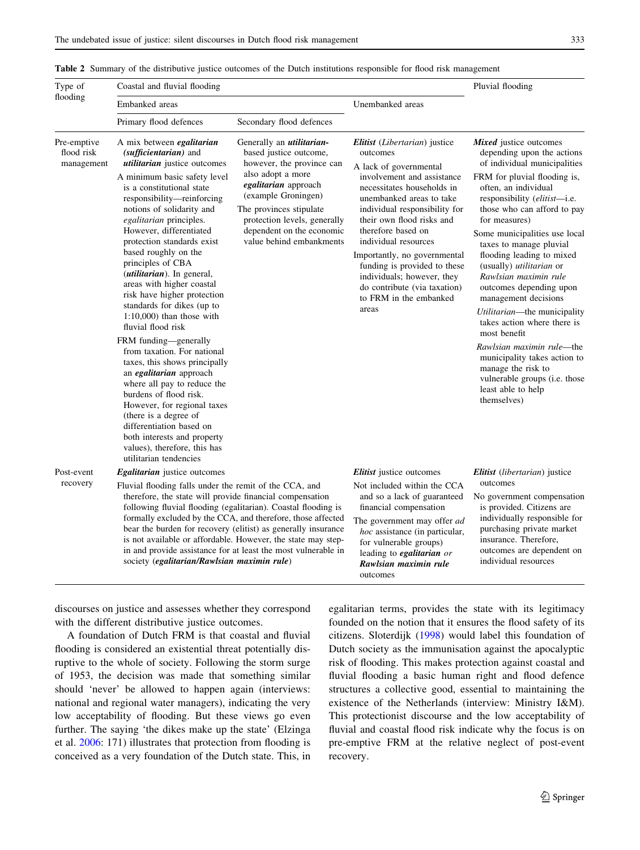#### <span id="page-9-0"></span>Table 2 Summary of the distributive justice outcomes of the Dutch institutions responsible for flood risk management

| Type of<br>flooding                     | Coastal and fluvial flooding                                                                                                                                                                                                                                                                                                                                                                                                                                                                                                                                                                                                                                                                                                                                                                                                                                                             | Pluvial flooding                                                                                                                                                                                                                                                                                                               |                                                                                                                                                                                                                                                                                                                                                                                                                                                 |                                                                                                                                                                                                                                                                                                                                                                                                                                                                                                                                                                                                                                                                                       |
|-----------------------------------------|------------------------------------------------------------------------------------------------------------------------------------------------------------------------------------------------------------------------------------------------------------------------------------------------------------------------------------------------------------------------------------------------------------------------------------------------------------------------------------------------------------------------------------------------------------------------------------------------------------------------------------------------------------------------------------------------------------------------------------------------------------------------------------------------------------------------------------------------------------------------------------------|--------------------------------------------------------------------------------------------------------------------------------------------------------------------------------------------------------------------------------------------------------------------------------------------------------------------------------|-------------------------------------------------------------------------------------------------------------------------------------------------------------------------------------------------------------------------------------------------------------------------------------------------------------------------------------------------------------------------------------------------------------------------------------------------|---------------------------------------------------------------------------------------------------------------------------------------------------------------------------------------------------------------------------------------------------------------------------------------------------------------------------------------------------------------------------------------------------------------------------------------------------------------------------------------------------------------------------------------------------------------------------------------------------------------------------------------------------------------------------------------|
|                                         | Embanked areas                                                                                                                                                                                                                                                                                                                                                                                                                                                                                                                                                                                                                                                                                                                                                                                                                                                                           |                                                                                                                                                                                                                                                                                                                                | Unembanked areas                                                                                                                                                                                                                                                                                                                                                                                                                                |                                                                                                                                                                                                                                                                                                                                                                                                                                                                                                                                                                                                                                                                                       |
|                                         | Primary flood defences                                                                                                                                                                                                                                                                                                                                                                                                                                                                                                                                                                                                                                                                                                                                                                                                                                                                   | Secondary flood defences                                                                                                                                                                                                                                                                                                       |                                                                                                                                                                                                                                                                                                                                                                                                                                                 |                                                                                                                                                                                                                                                                                                                                                                                                                                                                                                                                                                                                                                                                                       |
| Pre-emptive<br>flood risk<br>management | A mix between <i>egalitarian</i><br>(sufficientarian) and<br>utilitarian justice outcomes<br>A minimum basic safety level<br>is a constitutional state<br>responsibility-reinforcing<br>notions of solidarity and<br>egalitarian principles.<br>However, differentiated<br>protection standards exist<br>based roughly on the<br>principles of CBA<br>(utilitarian). In general,<br>areas with higher coastal<br>risk have higher protection<br>standards for dikes (up to<br>$1:10,000$ than those with<br>fluvial flood risk<br>FRM funding-generally<br>from taxation. For national<br>taxes, this shows principally<br>an egalitarian approach<br>where all pay to reduce the<br>burdens of flood risk.<br>However, for regional taxes<br>(there is a degree of<br>differentiation based on<br>both interests and property<br>values), therefore, this has<br>utilitarian tendencies | Generally an <i>utilitarian</i> -<br>based justice outcome,<br>however, the province can<br>also adopt a more<br>egalitarian approach<br>(example Groningen)<br>The provinces stipulate<br>protection levels, generally<br>dependent on the economic<br>value behind embankments                                               | <b>Elitist</b> (Libertarian) justice<br>outcomes<br>A lack of governmental<br>involvement and assistance<br>necessitates households in<br>unembanked areas to take<br>individual responsibility for<br>their own flood risks and<br>therefore based on<br>individual resources<br>Importantly, no governmental<br>funding is provided to these<br>individuals; however, they<br>do contribute (via taxation)<br>to FRM in the embanked<br>areas | Mixed justice outcomes<br>depending upon the actions<br>of individual municipalities<br>FRM for pluvial flooding is,<br>often, an individual<br>responsibility ( <i>elitist</i> —i.e.<br>those who can afford to pay<br>for measures)<br>Some municipalities use local<br>taxes to manage pluvial<br>flooding leading to mixed<br>(usually) <i>utilitarian</i> or<br>Rawlsian maximin rule<br>outcomes depending upon<br>management decisions<br>Utilitarian-the municipality<br>takes action where there is<br>most benefit<br>Rawlsian maximin rule-the<br>municipality takes action to<br>manage the risk to<br>vulnerable groups (i.e. those<br>least able to help<br>themselves) |
| Post-event<br>recovery                  | <b>Egalitarian</b> justice outcomes<br>Fluvial flooding falls under the remit of the CCA, and                                                                                                                                                                                                                                                                                                                                                                                                                                                                                                                                                                                                                                                                                                                                                                                            |                                                                                                                                                                                                                                                                                                                                | <i>Elitist</i> justice outcomes<br>Not included within the CCA                                                                                                                                                                                                                                                                                                                                                                                  | <i>Elitist</i> ( <i>libertarian</i> ) justice<br>outcomes<br>No government compensation<br>is provided. Citizens are<br>individually responsible for<br>purchasing private market<br>insurance. Therefore,<br>outcomes are dependent on<br>individual resources                                                                                                                                                                                                                                                                                                                                                                                                                       |
|                                         | therefore, the state will provide financial compensation<br>society (egalitarian/Rawlsian maximin rule)                                                                                                                                                                                                                                                                                                                                                                                                                                                                                                                                                                                                                                                                                                                                                                                  | following fluvial flooding (egalitarian). Coastal flooding is<br>formally excluded by the CCA, and therefore, those affected<br>bear the burden for recovery (elitist) as generally insurance<br>is not available or affordable. However, the state may step-<br>in and provide assistance for at least the most vulnerable in | and so a lack of guaranteed<br>financial compensation<br>The government may offer ad<br>hoc assistance (in particular,<br>for vulnerable groups)<br>leading to <i>egalitarian</i> or<br>Rawlsian maximin rule<br>outcomes                                                                                                                                                                                                                       |                                                                                                                                                                                                                                                                                                                                                                                                                                                                                                                                                                                                                                                                                       |

discourses on justice and assesses whether they correspond with the different distributive justice outcomes.

A foundation of Dutch FRM is that coastal and fluvial flooding is considered an existential threat potentially disruptive to the whole of society. Following the storm surge of 1953, the decision was made that something similar should 'never' be allowed to happen again (interviews: national and regional water managers), indicating the very low acceptability of flooding. But these views go even further. The saying 'the dikes make up the state' (Elzinga et al. [2006:](#page-12-0) 171) illustrates that protection from flooding is conceived as a very foundation of the Dutch state. This, in egalitarian terms, provides the state with its legitimacy founded on the notion that it ensures the flood safety of its citizens. Sloterdijk [\(1998](#page-13-0)) would label this foundation of Dutch society as the immunisation against the apocalyptic risk of flooding. This makes protection against coastal and fluvial flooding a basic human right and flood defence structures a collective good, essential to maintaining the existence of the Netherlands (interview: Ministry I&M). This protectionist discourse and the low acceptability of fluvial and coastal flood risk indicate why the focus is on pre-emptive FRM at the relative neglect of post-event recovery.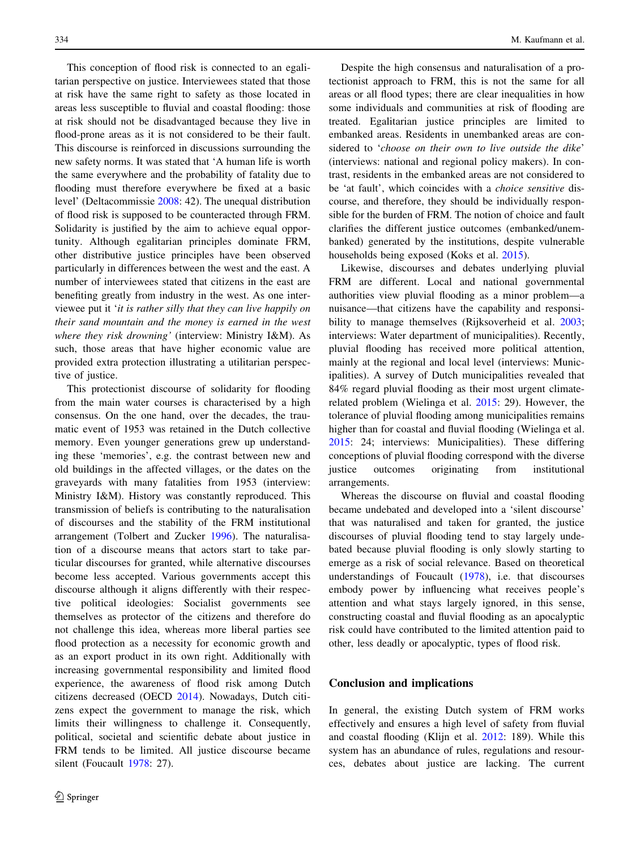<span id="page-10-0"></span>This conception of flood risk is connected to an egalitarian perspective on justice. Interviewees stated that those at risk have the same right to safety as those located in areas less susceptible to fluvial and coastal flooding: those at risk should not be disadvantaged because they live in flood-prone areas as it is not considered to be their fault. This discourse is reinforced in discussions surrounding the new safety norms. It was stated that 'A human life is worth the same everywhere and the probability of fatality due to flooding must therefore everywhere be fixed at a basic level' (Deltacommissie [2008:](#page-12-0) 42). The unequal distribution of flood risk is supposed to be counteracted through FRM. Solidarity is justified by the aim to achieve equal opportunity. Although egalitarian principles dominate FRM, other distributive justice principles have been observed particularly in differences between the west and the east. A number of interviewees stated that citizens in the east are benefiting greatly from industry in the west. As one interviewee put it 'it is rather silly that they can live happily on their sand mountain and the money is earned in the west where they risk drowning' (interview: Ministry I&M). As such, those areas that have higher economic value are provided extra protection illustrating a utilitarian perspective of justice.

This protectionist discourse of solidarity for flooding from the main water courses is characterised by a high consensus. On the one hand, over the decades, the traumatic event of 1953 was retained in the Dutch collective memory. Even younger generations grew up understanding these 'memories', e.g. the contrast between new and old buildings in the affected villages, or the dates on the graveyards with many fatalities from 1953 (interview: Ministry I&M). History was constantly reproduced. This transmission of beliefs is contributing to the naturalisation of discourses and the stability of the FRM institutional arrangement (Tolbert and Zucker [1996\)](#page-13-0). The naturalisation of a discourse means that actors start to take particular discourses for granted, while alternative discourses become less accepted. Various governments accept this discourse although it aligns differently with their respective political ideologies: Socialist governments see themselves as protector of the citizens and therefore do not challenge this idea, whereas more liberal parties see flood protection as a necessity for economic growth and as an export product in its own right. Additionally with increasing governmental responsibility and limited flood experience, the awareness of flood risk among Dutch citizens decreased (OECD [2014\)](#page-13-0). Nowadays, Dutch citizens expect the government to manage the risk, which limits their willingness to challenge it. Consequently, political, societal and scientific debate about justice in FRM tends to be limited. All justice discourse became silent (Foucault [1978](#page-12-0): 27).

Despite the high consensus and naturalisation of a protectionist approach to FRM, this is not the same for all areas or all flood types; there are clear inequalities in how some individuals and communities at risk of flooding are treated. Egalitarian justice principles are limited to embanked areas. Residents in unembanked areas are considered to 'choose on their own to live outside the dike' (interviews: national and regional policy makers). In contrast, residents in the embanked areas are not considered to be 'at fault', which coincides with a choice sensitive discourse, and therefore, they should be individually responsible for the burden of FRM. The notion of choice and fault clarifies the different justice outcomes (embanked/unembanked) generated by the institutions, despite vulnerable households being exposed (Koks et al. [2015](#page-13-0)).

Likewise, discourses and debates underlying pluvial FRM are different. Local and national governmental authorities view pluvial flooding as a minor problem—a nuisance—that citizens have the capability and responsi-bility to manage themselves (Rijksoverheid et al. [2003](#page-13-0); interviews: Water department of municipalities). Recently, pluvial flooding has received more political attention, mainly at the regional and local level (interviews: Municipalities). A survey of Dutch municipalities revealed that 84% regard pluvial flooding as their most urgent climaterelated problem (Wielinga et al. 2015: 29). However, the tolerance of pluvial flooding among municipalities remains higher than for coastal and fluvial flooding (Wielinga et al. 2015: 24; interviews: Municipalities). These differing conceptions of pluvial flooding correspond with the diverse justice outcomes originating from institutional arrangements.

Whereas the discourse on fluvial and coastal flooding became undebated and developed into a 'silent discourse' that was naturalised and taken for granted, the justice discourses of pluvial flooding tend to stay largely undebated because pluvial flooding is only slowly starting to emerge as a risk of social relevance. Based on theoretical understandings of Foucault [\(1978](#page-12-0)), i.e. that discourses embody power by influencing what receives people's attention and what stays largely ignored, in this sense, constructing coastal and fluvial flooding as an apocalyptic risk could have contributed to the limited attention paid to other, less deadly or apocalyptic, types of flood risk.

#### Conclusion and implications

In general, the existing Dutch system of FRM works effectively and ensures a high level of safety from fluvial and coastal flooding (Klijn et al. [2012:](#page-13-0) 189). While this system has an abundance of rules, regulations and resources, debates about justice are lacking. The current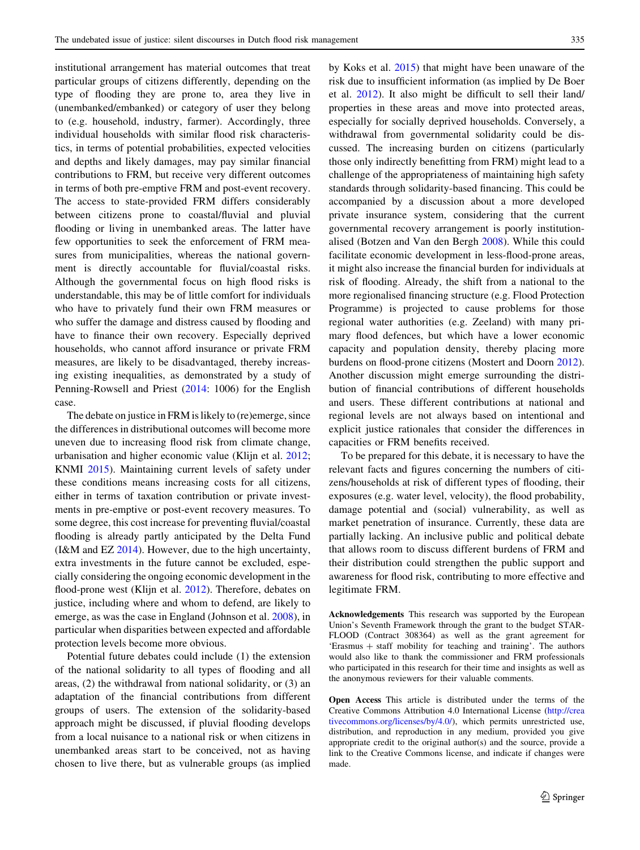institutional arrangement has material outcomes that treat particular groups of citizens differently, depending on the type of flooding they are prone to, area they live in (unembanked/embanked) or category of user they belong to (e.g. household, industry, farmer). Accordingly, three individual households with similar flood risk characteristics, in terms of potential probabilities, expected velocities and depths and likely damages, may pay similar financial contributions to FRM, but receive very different outcomes in terms of both pre-emptive FRM and post-event recovery. The access to state-provided FRM differs considerably between citizens prone to coastal/fluvial and pluvial flooding or living in unembanked areas. The latter have few opportunities to seek the enforcement of FRM measures from municipalities, whereas the national government is directly accountable for fluvial/coastal risks. Although the governmental focus on high flood risks is understandable, this may be of little comfort for individuals who have to privately fund their own FRM measures or who suffer the damage and distress caused by flooding and have to finance their own recovery. Especially deprived households, who cannot afford insurance or private FRM measures, are likely to be disadvantaged, thereby increasing existing inequalities, as demonstrated by a study of Penning-Rowsell and Priest [\(2014](#page-13-0): 1006) for the English case.

The debate on justice in FRM is likely to (re)emerge, since the differences in distributional outcomes will become more uneven due to increasing flood risk from climate change, urbanisation and higher economic value (Klijn et al. [2012](#page-13-0); KNMI [2015\)](#page-13-0). Maintaining current levels of safety under these conditions means increasing costs for all citizens, either in terms of taxation contribution or private investments in pre-emptive or post-event recovery measures. To some degree, this cost increase for preventing fluvial/coastal flooding is already partly anticipated by the Delta Fund (I&M and EZ  $2014$ ). However, due to the high uncertainty, extra investments in the future cannot be excluded, especially considering the ongoing economic development in the flood-prone west (Klijn et al. [2012](#page-13-0)). Therefore, debates on justice, including where and whom to defend, are likely to emerge, as was the case in England (Johnson et al. [2008](#page-12-0)), in particular when disparities between expected and affordable protection levels become more obvious.

Potential future debates could include (1) the extension of the national solidarity to all types of flooding and all areas, (2) the withdrawal from national solidarity, or (3) an adaptation of the financial contributions from different groups of users. The extension of the solidarity-based approach might be discussed, if pluvial flooding develops from a local nuisance to a national risk or when citizens in unembanked areas start to be conceived, not as having chosen to live there, but as vulnerable groups (as implied by Koks et al. [2015](#page-13-0)) that might have been unaware of the risk due to insufficient information (as implied by De Boer et al. [2012\)](#page-12-0). It also might be difficult to sell their land/ properties in these areas and move into protected areas, especially for socially deprived households. Conversely, a withdrawal from governmental solidarity could be discussed. The increasing burden on citizens (particularly those only indirectly benefitting from FRM) might lead to a challenge of the appropriateness of maintaining high safety standards through solidarity-based financing. This could be accompanied by a discussion about a more developed private insurance system, considering that the current governmental recovery arrangement is poorly institutionalised (Botzen and Van den Bergh [2008\)](#page-12-0). While this could facilitate economic development in less-flood-prone areas, it might also increase the financial burden for individuals at risk of flooding. Already, the shift from a national to the more regionalised financing structure (e.g. Flood Protection Programme) is projected to cause problems for those regional water authorities (e.g. Zeeland) with many primary flood defences, but which have a lower economic capacity and population density, thereby placing more burdens on flood-prone citizens (Mostert and Doorn [2012](#page-13-0)). Another discussion might emerge surrounding the distribution of financial contributions of different households and users. These different contributions at national and regional levels are not always based on intentional and explicit justice rationales that consider the differences in capacities or FRM benefits received.

To be prepared for this debate, it is necessary to have the relevant facts and figures concerning the numbers of citizens/households at risk of different types of flooding, their exposures (e.g. water level, velocity), the flood probability, damage potential and (social) vulnerability, as well as market penetration of insurance. Currently, these data are partially lacking. An inclusive public and political debate that allows room to discuss different burdens of FRM and their distribution could strengthen the public support and awareness for flood risk, contributing to more effective and legitimate FRM.

Acknowledgements This research was supported by the European Union's Seventh Framework through the grant to the budget STAR-FLOOD (Contract 308364) as well as the grant agreement for 'Erasmus + staff mobility for teaching and training'. The authors would also like to thank the commissioner and FRM professionals who participated in this research for their time and insights as well as the anonymous reviewers for their valuable comments.

Open Access This article is distributed under the terms of the Creative Commons Attribution 4.0 International License ([http://crea](http://creativecommons.org/licenses/by/4.0/) [tivecommons.org/licenses/by/4.0/\)](http://creativecommons.org/licenses/by/4.0/), which permits unrestricted use, distribution, and reproduction in any medium, provided you give appropriate credit to the original author(s) and the source, provide a link to the Creative Commons license, and indicate if changes were made.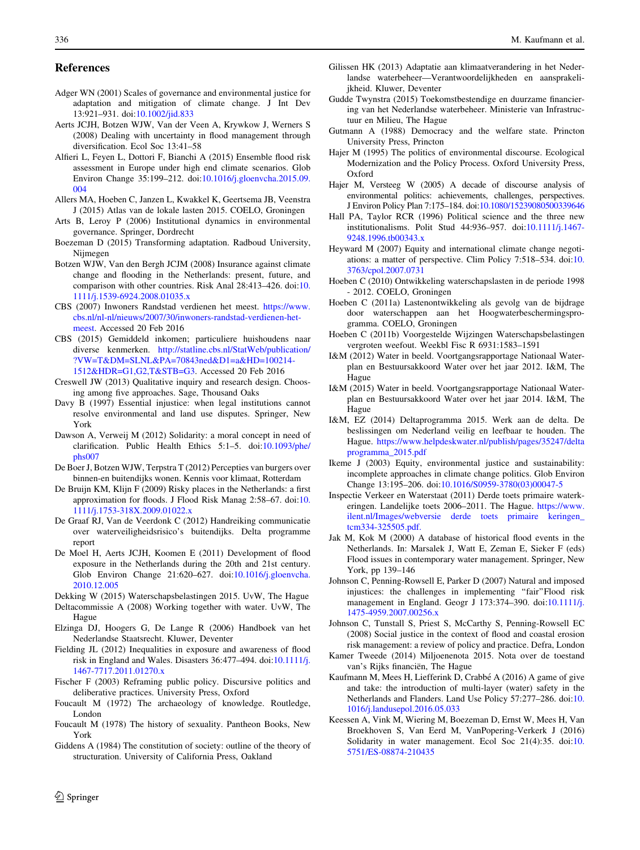#### <span id="page-12-0"></span>References

- Adger WN (2001) Scales of governance and environmental justice for adaptation and mitigation of climate change. J Int Dev 13:921–931. doi:[10.1002/jid.833](http://dx.doi.org/10.1002/jid.833)
- Aerts JCJH, Botzen WJW, Van der Veen A, Krywkow J, Werners S (2008) Dealing with uncertainty in flood management through diversification. Ecol Soc 13:41–58
- Alfieri L, Feyen L, Dottori F, Bianchi A (2015) Ensemble flood risk assessment in Europe under high end climate scenarios. Glob Environ Change 35:199–212. doi[:10.1016/j.gloenvcha.2015.09.](http://dx.doi.org/10.1016/j.gloenvcha.2015.09.004) [004](http://dx.doi.org/10.1016/j.gloenvcha.2015.09.004)
- Allers MA, Hoeben C, Janzen L, Kwakkel K, Geertsema JB, Veenstra J (2015) Atlas van de lokale lasten 2015. COELO, Groningen
- Arts B, Leroy P (2006) Institutional dynamics in environmental governance. Springer, Dordrecht
- Boezeman D (2015) Transforming adaptation. Radboud University, Nijmegen
- Botzen WJW, Van den Bergh JCJM (2008) Insurance against climate change and flooding in the Netherlands: present, future, and comparison with other countries. Risk Anal 28:413–426. doi:[10.](http://dx.doi.org/10.1111/j.1539-6924.2008.01035.x) [1111/j.1539-6924.2008.01035.x](http://dx.doi.org/10.1111/j.1539-6924.2008.01035.x)
- CBS (2007) Inwoners Randstad verdienen het meest. [https://www.](https://www.cbs.nl/nl-nl/nieuws/2007/30/inwoners-randstad-verdienen-het-meest) [cbs.nl/nl-nl/nieuws/2007/30/inwoners-randstad-verdienen-het](https://www.cbs.nl/nl-nl/nieuws/2007/30/inwoners-randstad-verdienen-het-meest)[meest.](https://www.cbs.nl/nl-nl/nieuws/2007/30/inwoners-randstad-verdienen-het-meest) Accessed 20 Feb 2016
- CBS (2015) Gemiddeld inkomen; particuliere huishoudens naar diverse kenmerken. [http://statline.cbs.nl/StatWeb/publication/](http://statline.cbs.nl/StatWeb/publication/%3fVW%3dT%26DM%3dSLNL%26PA%3d70843ned%26D1%3da%26HD%3d100214-1512%26HDR%3dG1%2cG2%2cT%26STB%3dG3) [?VW=T&DM=SLNL&PA=70843ned&D1=a&HD=100214-](http://statline.cbs.nl/StatWeb/publication/%3fVW%3dT%26DM%3dSLNL%26PA%3d70843ned%26D1%3da%26HD%3d100214-1512%26HDR%3dG1%2cG2%2cT%26STB%3dG3) [1512&HDR=G1,G2,T&STB=G3](http://statline.cbs.nl/StatWeb/publication/%3fVW%3dT%26DM%3dSLNL%26PA%3d70843ned%26D1%3da%26HD%3d100214-1512%26HDR%3dG1%2cG2%2cT%26STB%3dG3). Accessed 20 Feb 2016
- Creswell JW (2013) Qualitative inquiry and research design. Choosing among five approaches. Sage, Thousand Oaks
- Davy B (1997) Essential injustice: when legal institutions cannot resolve environmental and land use disputes. Springer, New York
- Dawson A, Verweij M (2012) Solidarity: a moral concept in need of clarification. Public Health Ethics 5:1–5. doi:[10.1093/phe/](http://dx.doi.org/10.1093/phe/phs007) [phs007](http://dx.doi.org/10.1093/phe/phs007)
- De Boer J, Botzen WJW, Terpstra T (2012) Percepties van burgers over binnen-en buitendijks wonen. Kennis voor klimaat, Rotterdam
- De Bruijn KM, Klijn F (2009) Risky places in the Netherlands: a first approximation for floods. J Flood Risk Manag 2:58–67. doi:[10.](http://dx.doi.org/10.1111/j.1753-318X.2009.01022.x) [1111/j.1753-318X.2009.01022.x](http://dx.doi.org/10.1111/j.1753-318X.2009.01022.x)
- De Graaf RJ, Van de Veerdonk C (2012) Handreiking communicatie over waterveiligheidsrisico's buitendijks. Delta programme report
- De Moel H, Aerts JCJH, Koomen E (2011) Development of flood exposure in the Netherlands during the 20th and 21st century. Glob Environ Change 21:620–627. doi:[10.1016/j.gloenvcha.](http://dx.doi.org/10.1016/j.gloenvcha.2010.12.005) [2010.12.005](http://dx.doi.org/10.1016/j.gloenvcha.2010.12.005)
- Dekking W (2015) Waterschapsbelastingen 2015. UvW, The Hague
- Deltacommissie A (2008) Working together with water. UvW, The Hague
- Elzinga DJ, Hoogers G, De Lange R (2006) Handboek van het Nederlandse Staatsrecht. Kluwer, Deventer
- Fielding JL (2012) Inequalities in exposure and awareness of flood risk in England and Wales. Disasters 36:477–494. doi:[10.1111/j.](http://dx.doi.org/10.1111/j.1467-7717.2011.01270.x) [1467-7717.2011.01270.x](http://dx.doi.org/10.1111/j.1467-7717.2011.01270.x)
- Fischer F (2003) Reframing public policy. Discursive politics and deliberative practices. University Press, Oxford
- Foucault M (1972) The archaeology of knowledge. Routledge, London
- Foucault M (1978) The history of sexuality. Pantheon Books, New York
- Giddens A (1984) The constitution of society: outline of the theory of structuration. University of California Press, Oakland
- Gilissen HK (2013) Adaptatie aan klimaatverandering in het Nederlandse waterbeheer—Verantwoordelijkheden en aansprakelijkheid. Kluwer, Deventer
- Gudde Twynstra (2015) Toekomstbestendige en duurzame financiering van het Nederlandse waterbeheer. Ministerie van Infrastructuur en Milieu, The Hague
- Gutmann A (1988) Democracy and the welfare state. Princton University Press, Princton
- Hajer M (1995) The politics of environmental discourse. Ecological Modernization and the Policy Process. Oxford University Press, Oxford
- Hajer M, Versteeg W (2005) A decade of discourse analysis of environmental politics: achievements, challenges, perspectives. J Environ Policy Plan 7:175–184. doi[:10.1080/15239080500339646](http://dx.doi.org/10.1080/15239080500339646)
- Hall PA, Taylor RCR (1996) Political science and the three new institutionalisms. Polit Stud 44:936–957. doi[:10.1111/j.1467-](http://dx.doi.org/10.1111/j.1467-9248.1996.tb00343.x) [9248.1996.tb00343.x](http://dx.doi.org/10.1111/j.1467-9248.1996.tb00343.x)
- Heyward M (2007) Equity and international climate change negotiations: a matter of perspective. Clim Policy 7:518–534. doi:[10.](http://dx.doi.org/10.3763/cpol.2007.0731) [3763/cpol.2007.0731](http://dx.doi.org/10.3763/cpol.2007.0731)
- Hoeben C (2010) Ontwikkeling waterschapslasten in de periode 1998 - 2012. COELO, Groningen
- Hoeben C (2011a) Lastenontwikkeling als gevolg van de bijdrage door waterschappen aan het Hoogwaterbeschermingsprogramma. COELO, Groningen
- Hoeben C (2011b) Voorgestelde Wijzingen Waterschapsbelastingen vergroten weefout. Weekbl Fisc R 6931:1583–1591
- I&M (2012) Water in beeld. Voortgangsrapportage Nationaal Waterplan en Bestuursakkoord Water over het jaar 2012. I&M, The Hague
- I&M (2015) Water in beeld. Voortgangsrapportage Nationaal Waterplan en Bestuursakkoord Water over het jaar 2014. I&M, The Hague
- I&M, EZ (2014) Deltaprogramma 2015. Werk aan de delta. De beslissingen om Nederland veilig en leefbaar te houden. The Hague. [https://www.helpdeskwater.nl/publish/pages/35247/delta](https://www.helpdeskwater.nl/publish/pages/35247/deltaprogramma_2015.pdf) [programma\\_2015.pdf](https://www.helpdeskwater.nl/publish/pages/35247/deltaprogramma_2015.pdf)
- Ikeme J (2003) Equity, environmental justice and sustainability: incomplete approaches in climate change politics. Glob Environ Change 13:195–206. doi:[10.1016/S0959-3780\(03\)00047-5](http://dx.doi.org/10.1016/S0959-3780(03)00047-5)
- Inspectie Verkeer en Waterstaat (2011) Derde toets primaire waterkeringen. Landelijke toets 2006–2011. The Hague. [https://www.](https://www.ilent.nl/Images/webversie%20derde%20toets%20primaire%20keringen_tcm334-325505.pdf.) [ilent.nl/Images/webversie derde toets primaire keringen\\_](https://www.ilent.nl/Images/webversie%20derde%20toets%20primaire%20keringen_tcm334-325505.pdf.) [tcm334-325505.pdf.](https://www.ilent.nl/Images/webversie%20derde%20toets%20primaire%20keringen_tcm334-325505.pdf.)
- Jak M, Kok M (2000) A database of historical flood events in the Netherlands. In: Marsalek J, Watt E, Zeman E, Sieker F (eds) Flood issues in contemporary water management. Springer, New York, pp 139–146
- Johnson C, Penning-Rowsell E, Parker D (2007) Natural and imposed injustices: the challenges in implementing ''fair''Flood risk management in England. Geogr J 173:374–390. doi:[10.1111/j.](http://dx.doi.org/10.1111/j.1475-4959.2007.00256.x) [1475-4959.2007.00256.x](http://dx.doi.org/10.1111/j.1475-4959.2007.00256.x)
- Johnson C, Tunstall S, Priest S, McCarthy S, Penning-Rowsell EC (2008) Social justice in the context of flood and coastal erosion risk management: a review of policy and practice. Defra, London
- Kamer Tweede (2014) Miljoenenota 2015. Nota over de toestand van's Rijks financiën, The Hague
- Kaufmann M, Mees H, Liefferink D, Crabbé A (2016) A game of give and take: the introduction of multi-layer (water) safety in the Netherlands and Flanders. Land Use Policy 57:277–286. doi:[10.](http://dx.doi.org/10.1016/j.landusepol.2016.05.033) [1016/j.landusepol.2016.05.033](http://dx.doi.org/10.1016/j.landusepol.2016.05.033)
- Keessen A, Vink M, Wiering M, Boezeman D, Ernst W, Mees H, Van Broekhoven S, Van Eerd M, VanPopering-Verkerk J (2016) Solidarity in water management. Ecol Soc 21(4):35. doi:[10.](http://dx.doi.org/10.5751/ES-08874-210435) [5751/ES-08874-210435](http://dx.doi.org/10.5751/ES-08874-210435)